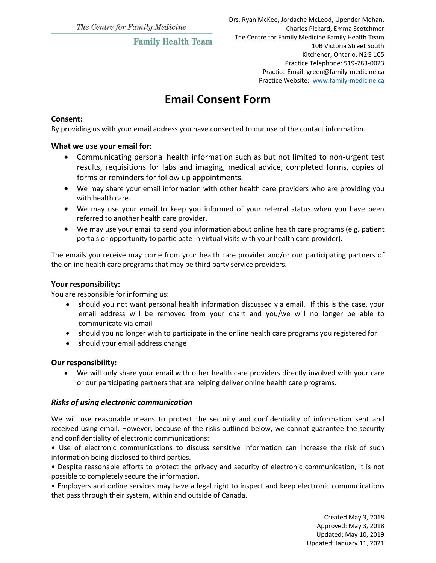# **Family Health Team**

# **Email Consent Form**

### **Consent:**

By providing us with your email address you have consented to our use of the contact information.

#### **What we use your email for:**

- Communicating personal health information such as but not limited to non-urgent test results, requisitions for labs and imaging, medical advice, completed forms, copies of forms or reminders for follow up appointments.
- We may share your email information with other health care providers who are providing you with health care.
- We may use your email to keep you informed of your referral status when you have been referred to another health care provider.
- We may use your email to send you information about online health care programs (e.g. patient portals or opportunity to participate in virtual visits with your health care provider).

The emails you receive may come from your health care provider and/or our participating partners of the online health care programs that may be third party service providers.

#### **Your responsibility:**

You are responsible for informing us:

- should you not want personal health information discussed via email. If this is the case, your email address will be removed from your chart and you/we will no longer be able to communicate via email
- should you no longer wish to participate in the online health care programs you registered for
- should your email address change

# **Our responsibility:**

 We will only share your email with other health care providers directly involved with your care or our participating partners that are helping deliver online health care programs.

# *Risks of using electronic communication*

We will use reasonable means to protect the security and confidentiality of information sent and received using email. However, because of the risks outlined below, we cannot guarantee the security and confidentiality of electronic communications:

• Use of electronic communications to discuss sensitive information can increase the risk of such information being disclosed to third parties.

• Despite reasonable efforts to protect the privacy and security of electronic communication, it is not possible to completely secure the information.

• Employers and online services may have a legal right to inspect and keep electronic communications that pass through their system, within and outside of Canada.